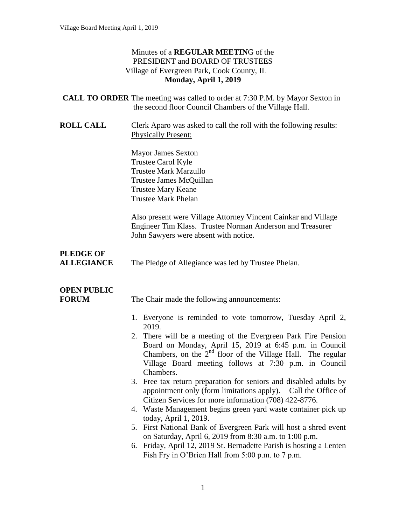#### Minutes of a **REGULAR MEETIN**G of the PRESIDENT and BOARD OF TRUSTEES Village of Evergreen Park, Cook County, IL **Monday, April 1, 2019**

| <b>CALL TO ORDER</b> The meeting was called to order at 7:30 P.M. by Mayor Sexton in |
|--------------------------------------------------------------------------------------|
| the second floor Council Chambers of the Village Hall.                               |

**ROLL CALL** Clerk Aparo was asked to call the roll with the following results: Physically Present:

> Mayor James Sexton Trustee Carol Kyle Trustee Mark Marzullo Trustee James McQuillan Trustee Mary Keane Trustee Mark Phelan

Also present were Village Attorney Vincent Cainkar and Village Engineer Tim Klass. Trustee Norman Anderson and Treasurer John Sawyers were absent with notice.

# **PLEDGE OF**

**ALLEGIANCE** The Pledge of Allegiance was led by Trustee Phelan.

# **OPEN PUBLIC**

**FORUM** The Chair made the following announcements:

- 1. Everyone is reminded to vote tomorrow, Tuesday April 2, 2019.
- 2. There will be a meeting of the Evergreen Park Fire Pension Board on Monday, April 15, 2019 at 6:45 p.m. in Council Chambers, on the  $2<sup>nd</sup>$  floor of the Village Hall. The regular Village Board meeting follows at 7:30 p.m. in Council Chambers.
- 3. Free tax return preparation for seniors and disabled adults by appointment only (form limitations apply). Call the Office of Citizen Services for more information (708) 422-8776.
- 4. Waste Management begins green yard waste container pick up today, April 1, 2019.
- 5. First National Bank of Evergreen Park will host a shred event on Saturday, April 6, 2019 from 8:30 a.m. to 1:00 p.m.
- 6. Friday, April 12, 2019 St. Bernadette Parish is hosting a Lenten Fish Fry in O'Brien Hall from 5:00 p.m. to 7 p.m.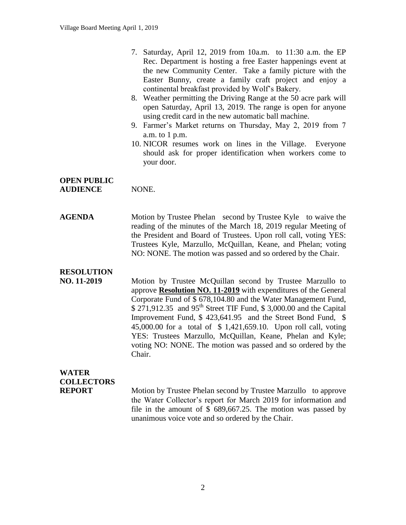- 7. Saturday, April 12, 2019 from 10a.m. to 11:30 a.m. the EP Rec. Department is hosting a free Easter happenings event at the new Community Center. Take a family picture with the Easter Bunny, create a family craft project and enjoy a continental breakfast provided by Wolf's Bakery.
- 8. Weather permitting the Driving Range at the 50 acre park will open Saturday, April 13, 2019. The range is open for anyone using credit card in the new automatic ball machine.
- 9. Farmer's Market returns on Thursday, May 2, 2019 from 7 a.m. to 1 p.m.
- 10. NICOR resumes work on lines in the Village. Everyone should ask for proper identification when workers come to your door.

#### **OPEN PUBLIC AUDIENCE** NONE.

**AGENDA** Motion by Trustee Phelan second by Trustee Kyle to waive the reading of the minutes of the March 18, 2019 regular Meeting of the President and Board of Trustees. Upon roll call, voting YES: Trustees Kyle, Marzullo, McQuillan, Keane, and Phelan; voting NO: NONE. The motion was passed and so ordered by the Chair.

### **RESOLUTION**

**NO. 11-2019** Motion by Trustee McQuillan second by Trustee Marzullo to approve **Resolution NO. 11-2019** with expenditures of the General Corporate Fund of \$ 678,104.80 and the Water Management Fund, \$ 271,912.35 and 95<sup>th</sup> Street TIF Fund, \$ 3,000.00 and the Capital Improvement Fund, \$ 423,641.95 and the Street Bond Fund, \$ 45,000.00 for a total of \$ 1,421,659.10. Upon roll call, voting YES: Trustees Marzullo, McQuillan, Keane, Phelan and Kyle; voting NO: NONE. The motion was passed and so ordered by the Chair.

## **WATER COLLECTORS**

**REPORT** Motion by Trustee Phelan second by Trustee Marzullo to approve the Water Collector's report for March 2019 for information and file in the amount of \$ 689,667.25. The motion was passed by unanimous voice vote and so ordered by the Chair.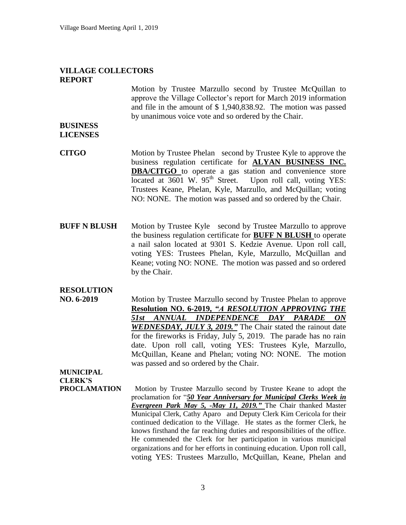#### **VILLAGE COLLECTORS REPORT**

Motion by Trustee Marzullo second by Trustee McQuillan to approve the Village Collector's report for March 2019 information and file in the amount of \$ 1,940,838.92. The motion was passed by unanimous voice vote and so ordered by the Chair.

#### **BUSINESS LICENSES**

- **CITGO** Motion by Trustee Phelan second by Trustee Kyle to approve the business regulation certificate for **ALYAN BUSINESS INC. DBA/CITGO** to operate a gas station and convenience store located at 3601 W. 95<sup>th</sup> Street. Upon roll call, voting YES: Upon roll call, voting YES: Trustees Keane, Phelan, Kyle, Marzullo, and McQuillan; voting NO: NONE. The motion was passed and so ordered by the Chair.
- **BUFF N BLUSH** Motion by Trustee Kyle second by Trustee Marzullo to approve the business regulation certificate for **BUFF N BLUSH** to operate a nail salon located at 9301 S. Kedzie Avenue. Upon roll call, voting YES: Trustees Phelan, Kyle, Marzullo, McQuillan and Keane; voting NO: NONE. The motion was passed and so ordered by the Chair.

### **RESOLUTION**

**NO. 6-2019** Motion by Trustee Marzullo second by Trustee Phelan to approve **Resolution NO. 6-2019,** *"A RESOLUTION APPROVING THE 51st ANNUAL INDEPENDENCE DAY PARADE ON WEDNESDAY, JULY 3, 2019."* The Chair stated the rainout date for the fireworks is Friday, July 5, 2019. The parade has no rain date. Upon roll call, voting YES: Trustees Kyle, Marzullo, McQuillan, Keane and Phelan; voting NO: NONE. The motion was passed and so ordered by the Chair.

## **MUNICIPAL CLERK'S**

**PROCLAMATION** Motion by Trustee Marzullo second by Trustee Keane to adopt the proclamation for "*50 Year Anniversary for Municipal Clerks Week in Evergreen Park May 5, -May 11, 2019."* The Chair thanked Master Municipal Clerk, Cathy Aparo and Deputy Clerk Kim Cericola for their continued dedication to the Village. He states as the former Clerk, he knows firsthand the far reaching duties and responsibilities of the office. He commended the Clerk for her participation in various municipal organizations and for her efforts in continuing education. Upon roll call, voting YES: Trustees Marzullo, McQuillan, Keane, Phelan and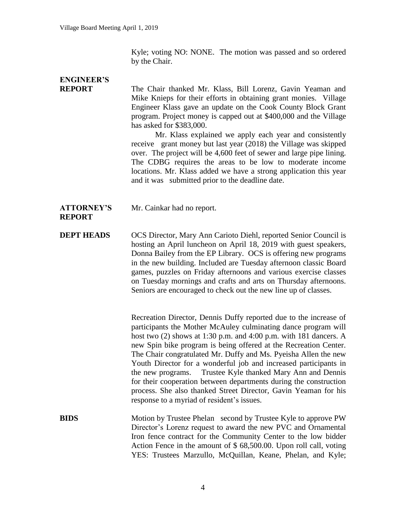Kyle; voting NO: NONE. The motion was passed and so ordered by the Chair.

# **ENGINEER'S**

**REPORT** The Chair thanked Mr. Klass, Bill Lorenz, Gavin Yeaman and Mike Knieps for their efforts in obtaining grant monies. Village Engineer Klass gave an update on the Cook County Block Grant program. Project money is capped out at \$400,000 and the Village has asked for \$383,000.

> Mr. Klass explained we apply each year and consistently receive grant money but last year (2018) the Village was skipped over. The project will be 4,600 feet of sewer and large pipe lining. The CDBG requires the areas to be low to moderate income locations. Mr. Klass added we have a strong application this year and it was submitted prior to the deadline date.

#### **ATTORNEY'S** Mr. Cainkar had no report.

#### **REPORT**

**DEPT HEADS** OCS Director, Mary Ann Carioto Diehl, reported Senior Council is hosting an April luncheon on April 18, 2019 with guest speakers, Donna Bailey from the EP Library. OCS is offering new programs in the new building. Included are Tuesday afternoon classic Board games, puzzles on Friday afternoons and various exercise classes on Tuesday mornings and crafts and arts on Thursday afternoons. Seniors are encouraged to check out the new line up of classes.

> Recreation Director, Dennis Duffy reported due to the increase of participants the Mother McAuley culminating dance program will host two (2) shows at 1:30 p.m. and 4:00 p.m. with 181 dancers. A new Spin bike program is being offered at the Recreation Center. The Chair congratulated Mr. Duffy and Ms. Pyeisha Allen the new Youth Director for a wonderful job and increased participants in the new programs. Trustee Kyle thanked Mary Ann and Dennis for their cooperation between departments during the construction process. She also thanked Street Director, Gavin Yeaman for his response to a myriad of resident's issues.

**BIDS** Motion by Trustee Phelan second by Trustee Kyle to approve PW Director's Lorenz request to award the new PVC and Ornamental Iron fence contract for the Community Center to the low bidder Action Fence in the amount of \$ 68,500.00. Upon roll call, voting YES: Trustees Marzullo, McQuillan, Keane, Phelan, and Kyle;